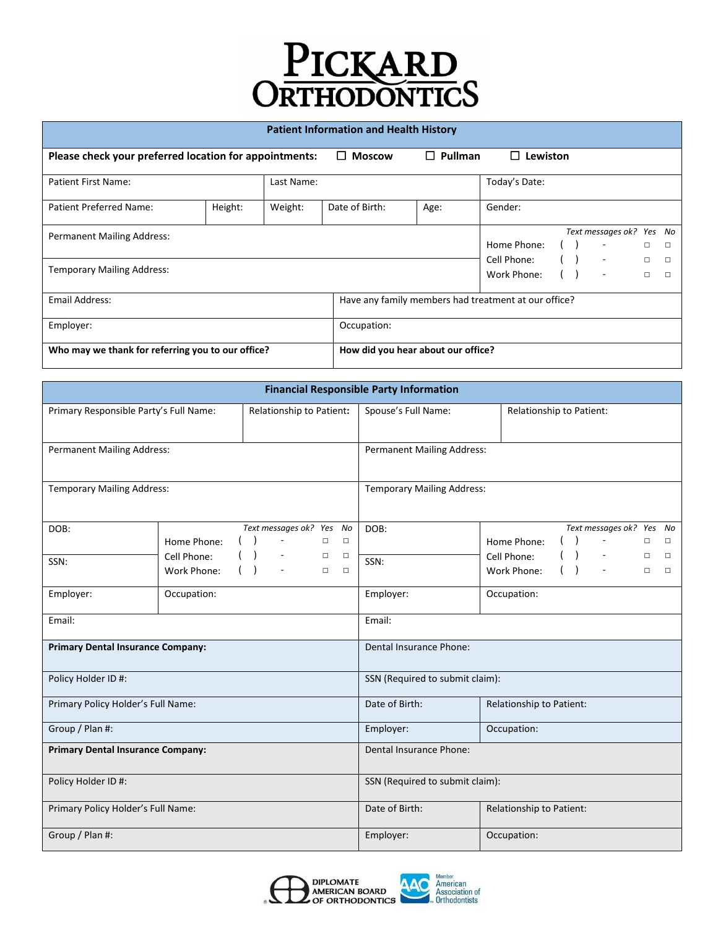

| <b>Patient Information and Health History</b>          |         |                                    |                |                                                      |                          |  |                          |                          |        |        |
|--------------------------------------------------------|---------|------------------------------------|----------------|------------------------------------------------------|--------------------------|--|--------------------------|--------------------------|--------|--------|
| Please check your preferred location for appointments: |         |                                    | $\Box$ Moscow  | $\Box$ Pullman                                       | Lewiston<br>$\mathbf{1}$ |  |                          |                          |        |        |
| Patient First Name:                                    |         | Last Name:                         |                |                                                      | Today's Date:            |  |                          |                          |        |        |
| Patient Preferred Name:                                | Height: | Weight:                            | Date of Birth: | Age:                                                 | Gender:                  |  |                          |                          |        |        |
| <b>Permanent Mailing Address:</b>                      |         |                                    |                |                                                      |                          |  |                          | Text messages ok?        |        | Yes No |
|                                                        |         |                                    |                |                                                      | Home Phone:              |  |                          | $\overline{\phantom{a}}$ | $\Box$ | п      |
|                                                        |         |                                    |                |                                                      | Cell Phone:              |  |                          | $\overline{\phantom{a}}$ | $\Box$ | п      |
| Temporary Mailing Address:                             |         |                                    |                | Work Phone:                                          |                          |  | $\overline{\phantom{a}}$ | $\Box$                   | п      |        |
| Email Address:                                         |         |                                    |                | Have any family members had treatment at our office? |                          |  |                          |                          |        |        |
| Employer:                                              |         |                                    | Occupation:    |                                                      |                          |  |                          |                          |        |        |
| Who may we thank for referring you to our office?      |         | How did you hear about our office? |                |                                                      |                          |  |                          |                          |        |        |

| <b>Financial Responsible Party Information</b>                     |             |                                                 |                                 |                                   |                                                             |  |
|--------------------------------------------------------------------|-------------|-------------------------------------------------|---------------------------------|-----------------------------------|-------------------------------------------------------------|--|
| Primary Responsible Party's Full Name:<br>Relationship to Patient: |             | Spouse's Full Name:<br>Relationship to Patient: |                                 |                                   |                                                             |  |
|                                                                    |             |                                                 |                                 |                                   |                                                             |  |
| <b>Permanent Mailing Address:</b>                                  |             |                                                 |                                 | <b>Permanent Mailing Address:</b> |                                                             |  |
| <b>Temporary Mailing Address:</b>                                  |             |                                                 |                                 | <b>Temporary Mailing Address:</b> |                                                             |  |
|                                                                    |             |                                                 |                                 |                                   |                                                             |  |
| DOB:                                                               |             | Text messages ok? Yes                           | No                              | DOB:                              | Text messages ok? Yes No                                    |  |
|                                                                    | Home Phone: | $\blacksquare$                                  | $\Box$<br>$\Box$                |                                   | Home Phone:<br>$\overline{\phantom{a}}$<br>$\Box$<br>$\Box$ |  |
| SSN:                                                               | Cell Phone: |                                                 | $\Box$<br>$\Box$                | SSN:                              | Cell Phone:<br>$\Box$<br>$\overline{a}$<br>$\Box$           |  |
|                                                                    | Work Phone: | $\overline{\phantom{a}}$                        | $\Box$<br>$\Box$                |                                   | Work Phone:<br>$\Box$<br>$\Box$<br>٠                        |  |
| Employer:                                                          | Occupation: |                                                 |                                 | Employer:                         | Occupation:                                                 |  |
| Email:                                                             |             |                                                 |                                 | Email:                            |                                                             |  |
| <b>Primary Dental Insurance Company:</b>                           |             |                                                 |                                 | Dental Insurance Phone:           |                                                             |  |
| Policy Holder ID #:                                                |             |                                                 |                                 | SSN (Required to submit claim):   |                                                             |  |
| Primary Policy Holder's Full Name:                                 |             |                                                 |                                 | Date of Birth:                    | Relationship to Patient:                                    |  |
| Group / Plan #:                                                    |             |                                                 |                                 | Employer:                         | Occupation:                                                 |  |
| <b>Primary Dental Insurance Company:</b>                           |             |                                                 |                                 | Dental Insurance Phone:           |                                                             |  |
| Policy Holder ID #:                                                |             |                                                 | SSN (Required to submit claim): |                                   |                                                             |  |
| Primary Policy Holder's Full Name:                                 |             |                                                 |                                 | Date of Birth:                    | Relationship to Patient:                                    |  |
| Group / Plan #:                                                    |             |                                                 |                                 | Employer:                         | Occupation:                                                 |  |

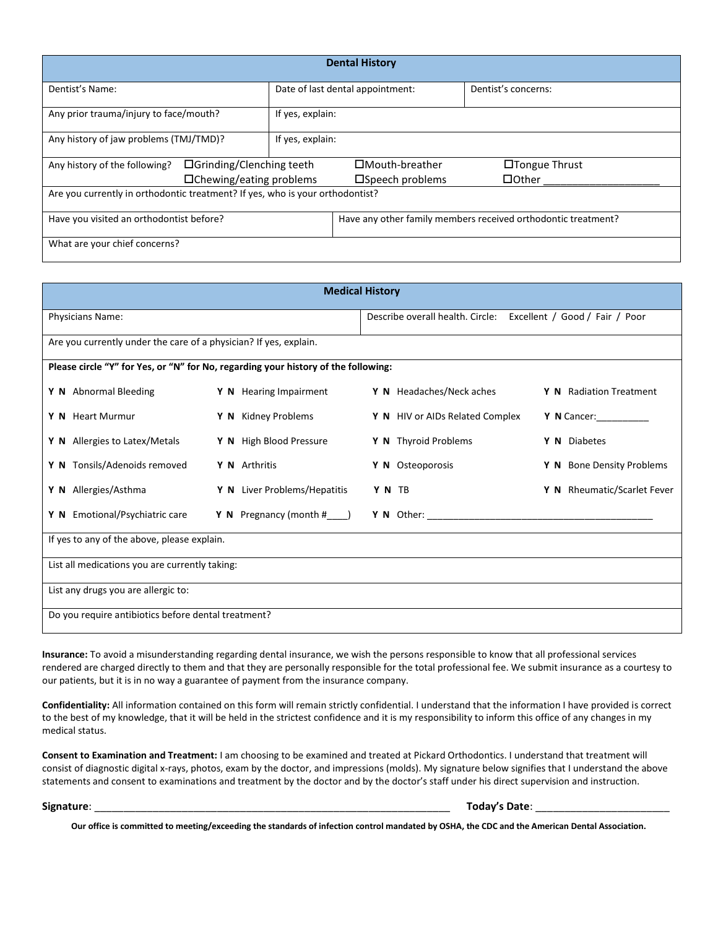| <b>Dental History</b>                                                         |  |                                  |                                                               |  |  |  |
|-------------------------------------------------------------------------------|--|----------------------------------|---------------------------------------------------------------|--|--|--|
| Dentist's Name:                                                               |  | Date of last dental appointment: | Dentist's concerns:                                           |  |  |  |
| Any prior trauma/injury to face/mouth?                                        |  | If yes, explain:                 |                                                               |  |  |  |
| Any history of jaw problems (TMJ/TMD)?                                        |  | If yes, explain:                 |                                                               |  |  |  |
| $\Box$ Grinding/Clenching teeth<br>Any history of the following?              |  | $\Box$ Mouth-breather            | $\Box$ Tongue Thrust                                          |  |  |  |
| $\Box$ Chewing/eating problems                                                |  | $\square$ Speech problems        | $\Box$ Other                                                  |  |  |  |
| Are you currently in orthodontic treatment? If yes, who is your orthodontist? |  |                                  |                                                               |  |  |  |
| Have you visited an orthodontist before?                                      |  |                                  | Have any other family members received orthodontic treatment? |  |  |  |
| What are your chief concerns?                                                 |  |                                  |                                                               |  |  |  |

| <b>Medical History</b>                                                             |                                        |                                                                 |                             |  |  |
|------------------------------------------------------------------------------------|----------------------------------------|-----------------------------------------------------------------|-----------------------------|--|--|
| Physicians Name:                                                                   |                                        | Describe overall health. Circle: Excellent / Good / Fair / Poor |                             |  |  |
| Are you currently under the care of a physician? If yes, explain.                  |                                        |                                                                 |                             |  |  |
| Please circle "Y" for Yes, or "N" for No, regarding your history of the following: |                                        |                                                                 |                             |  |  |
| Y N Abnormal Bleeding                                                              | Y N Hearing Impairment                 | Y N Headaches/Neck aches                                        | Y N Radiation Treatment     |  |  |
| Y N Heart Murmur                                                                   | Y N Kidney Problems                    | Y N HIV or AIDs Related Complex                                 | <b>Y</b> N Cancer:          |  |  |
| Y N Allergies to Latex/Metals                                                      | Y N High Blood Pressure                | Y N Thyroid Problems                                            | Y N Diabetes                |  |  |
| Y N Tonsils/Adenoids removed                                                       | Y N Arthritis                          | Y N Osteoporosis                                                | Y N Bone Density Problems   |  |  |
| Y N Allergies/Asthma                                                               | Y N Liver Problems/Hepatitis           | Y N TB                                                          | Y N Rheumatic/Scarlet Fever |  |  |
| Y N Emotional/Psychiatric care                                                     | <b>Y</b> N Pregnancy (month $#$ _____) |                                                                 |                             |  |  |
| If yes to any of the above, please explain.                                        |                                        |                                                                 |                             |  |  |
| List all medications you are currently taking:                                     |                                        |                                                                 |                             |  |  |
| List any drugs you are allergic to:                                                |                                        |                                                                 |                             |  |  |
| Do you require antibiotics before dental treatment?                                |                                        |                                                                 |                             |  |  |

**Insurance:** To avoid a misunderstanding regarding dental insurance, we wish the persons responsible to know that all professional services rendered are charged directly to them and that they are personally responsible for the total professional fee. We submit insurance as a courtesy to our patients, but it is in no way a guarantee of payment from the insurance company.

**Confidentiality:** All information contained on this form will remain strictly confidential. I understand that the information I have provided is correct to the best of my knowledge, that it will be held in the strictest confidence and it is my responsibility to inform this office of any changes in my medical status.

**Consent to Examination and Treatment:** I am choosing to be examined and treated at Pickard Orthodontics. I understand that treatment will consist of diagnostic digital x-rays, photos, exam by the doctor, and impressions (molds). My signature below signifies that I understand the above statements and consent to examinations and treatment by the doctor and by the doctor's staff under his direct supervision and instruction.

**Signature**: \_\_\_\_\_\_\_\_\_\_\_\_\_\_\_\_\_\_\_\_\_\_\_\_\_\_\_\_\_\_\_\_\_\_\_\_\_\_\_\_\_\_\_\_\_\_\_\_\_\_\_\_\_\_\_\_\_\_\_\_\_ **Today's Date**: \_\_\_\_\_\_\_\_\_\_\_\_\_\_\_\_\_\_\_\_\_\_\_

**Our office is committed to meeting/exceeding the standards of infection control mandated by OSHA, the CDC and the American Dental Association.**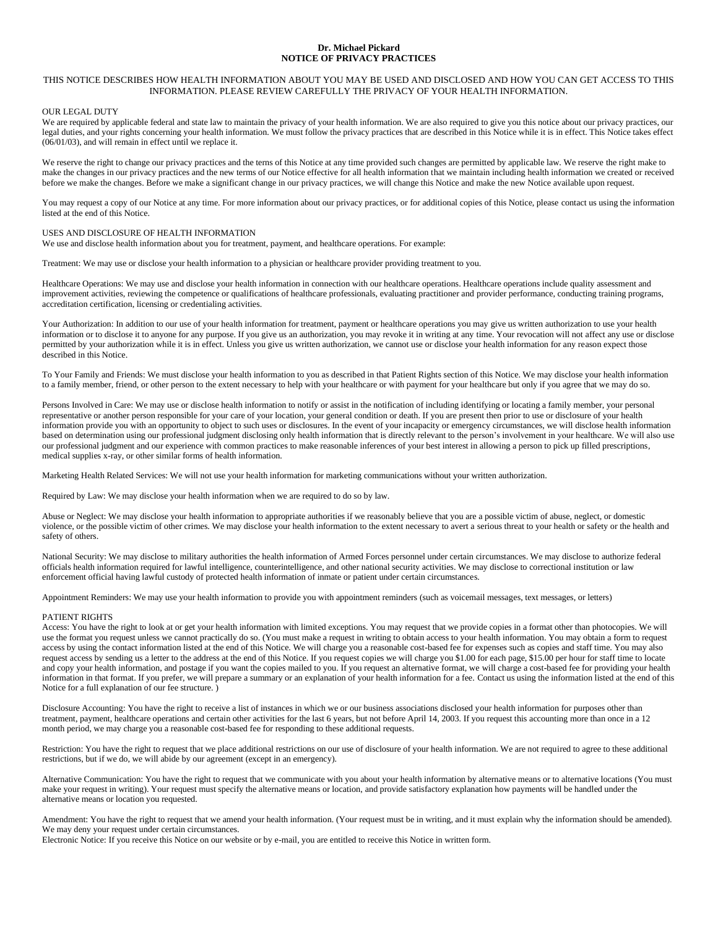### **Dr. Michael Pickard NOTICE OF PRIVACY PRACTICES**

### THIS NOTICE DESCRIBES HOW HEALTH INFORMATION ABOUT YOU MAY BE USED AND DISCLOSED AND HOW YOU CAN GET ACCESS TO THIS INFORMATION. PLEASE REVIEW CAREFULLY THE PRIVACY OF YOUR HEALTH INFORMATION.

#### OUR LEGAL DUTY

We are required by applicable federal and state law to maintain the privacy of your health information. We are also required to give you this notice about our privacy practices, our legal duties, and your rights concerning your health information. We must follow the privacy practices that are described in this Notice while it is in effect. This Notice takes effect (06/01/03), and will remain in effect until we replace it.

We reserve the right to change our privacy practices and the terns of this Notice at any time provided such changes are permitted by applicable law. We reserve the right make to make the changes in our privacy practices and the new terms of our Notice effective for all health information that we maintain including health information we created or received before we make the changes. Before we make a significant change in our privacy practices, we will change this Notice and make the new Notice available upon request.

You may request a copy of our Notice at any time. For more information about our privacy practices, or for additional copies of this Notice, please contact us using the information listed at the end of this Notice.

### USES AND DISCLOSURE OF HEALTH INFORMATION

We use and disclose health information about you for treatment, payment, and healthcare operations. For example:

Treatment: We may use or disclose your health information to a physician or healthcare provider providing treatment to you.

Healthcare Operations: We may use and disclose your health information in connection with our healthcare operations. Healthcare operations include quality assessment and improvement activities, reviewing the competence or qualifications of healthcare professionals, evaluating practitioner and provider performance, conducting training programs, accreditation certification, licensing or credentialing activities.

Your Authorization: In addition to our use of your health information for treatment, payment or healthcare operations you may give us written authorization to use your health information or to disclose it to anyone for any purpose. If you give us an authorization, you may revoke it in writing at any time. Your revocation will not affect any use or disclose permitted by your authorization while it is in effect. Unless you give us written authorization, we cannot use or disclose your health information for any reason expect those described in this Notice.

To Your Family and Friends: We must disclose your health information to you as described in that Patient Rights section of this Notice. We may disclose your health information to a family member, friend, or other person to the extent necessary to help with your healthcare or with payment for your healthcare but only if you agree that we may do so.

Persons Involved in Care: We may use or disclose health information to notify or assist in the notification of including identifying or locating a family member, your personal representative or another person responsible for your care of your location, your general condition or death. If you are present then prior to use or disclosure of your health information provide you with an opportunity to object to such uses or disclosures. In the event of your incapacity or emergency circumstances, we will disclose health information based on determination using our professional judgment disclosing only health information that is directly relevant to the person's involvement in your healthcare. We will also use our professional judgment and our experience with common practices to make reasonable inferences of your best interest in allowing a person to pick up filled prescriptions, medical supplies x-ray, or other similar forms of health information.

Marketing Health Related Services: We will not use your health information for marketing communications without your written authorization.

Required by Law: We may disclose your health information when we are required to do so by law.

Abuse or Neglect: We may disclose your health information to appropriate authorities if we reasonably believe that you are a possible victim of abuse, neglect, or domestic violence, or the possible victim of other crimes. We may disclose your health information to the extent necessary to avert a serious threat to your health or safety or the health and safety of others.

National Security: We may disclose to military authorities the health information of Armed Forces personnel under certain circumstances. We may disclose to authorize federal officials health information required for lawful intelligence, counterintelligence, and other national security activities. We may disclose to correctional institution or law enforcement official having lawful custody of protected health information of inmate or patient under certain circumstances.

Appointment Reminders: We may use your health information to provide you with appointment reminders (such as voicemail messages, text messages, or letters)

#### PATIENT RIGHTS

Access: You have the right to look at or get your health information with limited exceptions. You may request that we provide copies in a format other than photocopies. We will use the format you request unless we cannot practically do so. (You must make a request in writing to obtain access to your health information. You may obtain a form to request access by using the contact information listed at the end of this Notice. We will charge you a reasonable cost-based fee for expenses such as copies and staff time. You may also request access by sending us a letter to the address at the end of this Notice. If you request copies we will charge you \$1.00 for each page, \$15.00 per hour for staff time to locate and copy your health information, and postage if you want the copies mailed to you. If you request an alternative format, we will charge a cost-based fee for providing your health information in that format. If you prefer, we will prepare a summary or an explanation of your health information for a fee. Contact us using the information listed at the end of this Notice for a full explanation of our fee structure. )

Disclosure Accounting: You have the right to receive a list of instances in which we or our business associations disclosed your health information for purposes other than treatment, payment, healthcare operations and certain other activities for the last 6 years, but not before April 14, 2003. If you request this accounting more than once in a 12 month period, we may charge you a reasonable cost-based fee for responding to these additional requests.

Restriction: You have the right to request that we place additional restrictions on our use of disclosure of your health information. We are not required to agree to these additional restrictions, but if we do, we will abide by our agreement (except in an emergency).

Alternative Communication: You have the right to request that we communicate with you about your health information by alternative means or to alternative locations (You must make your request in writing). Your request must specify the alternative means or location, and provide satisfactory explanation how payments will be handled under the alternative means or location you requested.

Amendment: You have the right to request that we amend your health information. (Your request must be in writing, and it must explain why the information should be amended). We may deny your request under certain circumstances.

Electronic Notice: If you receive this Notice on our website or by e-mail, you are entitled to receive this Notice in written form.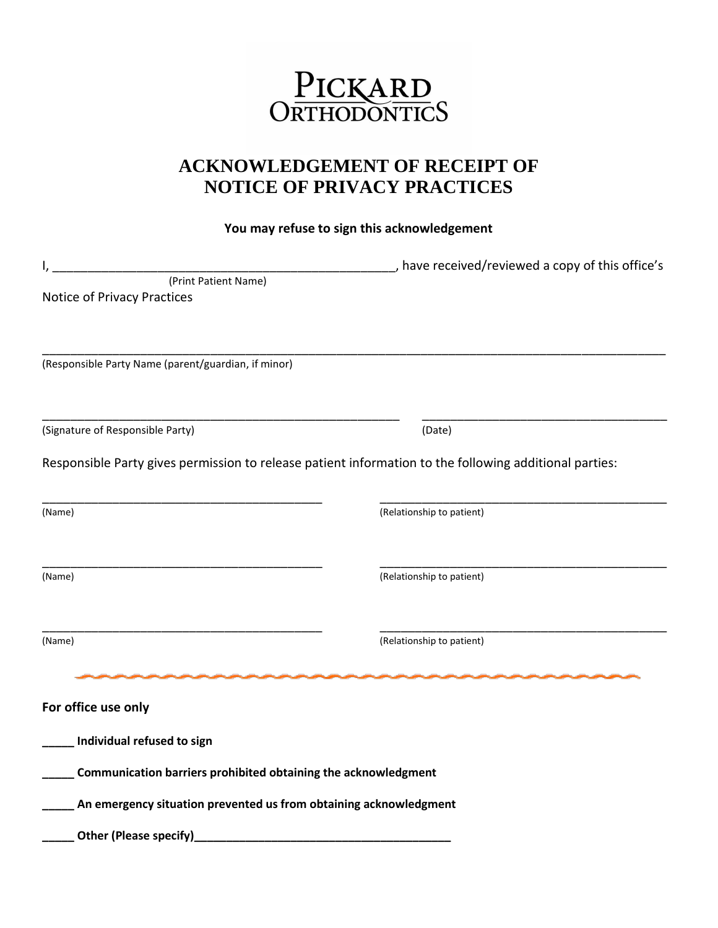

# **ACKNOWLEDGEMENT OF RECEIPT OF NOTICE OF PRIVACY PRACTICES**

## **You may refuse to sign this acknowledgement**

| (Print Patient Name)<br>Notice of Privacy Practices               | , have received/reviewed a copy of this office's                                                       |
|-------------------------------------------------------------------|--------------------------------------------------------------------------------------------------------|
| (Responsible Party Name (parent/guardian, if minor)               |                                                                                                        |
| (Signature of Responsible Party)                                  | (Date)                                                                                                 |
|                                                                   | Responsible Party gives permission to release patient information to the following additional parties: |
| (Name)                                                            | (Relationship to patient)                                                                              |
| (Name)                                                            | (Relationship to patient)                                                                              |
| (Name)                                                            | (Relationship to patient)                                                                              |
| For office use only                                               |                                                                                                        |
| Individual refused to sign                                        |                                                                                                        |
| Communication barriers prohibited obtaining the acknowledgment    |                                                                                                        |
| An emergency situation prevented us from obtaining acknowledgment |                                                                                                        |
| <b>Other (Please specify)</b>                                     |                                                                                                        |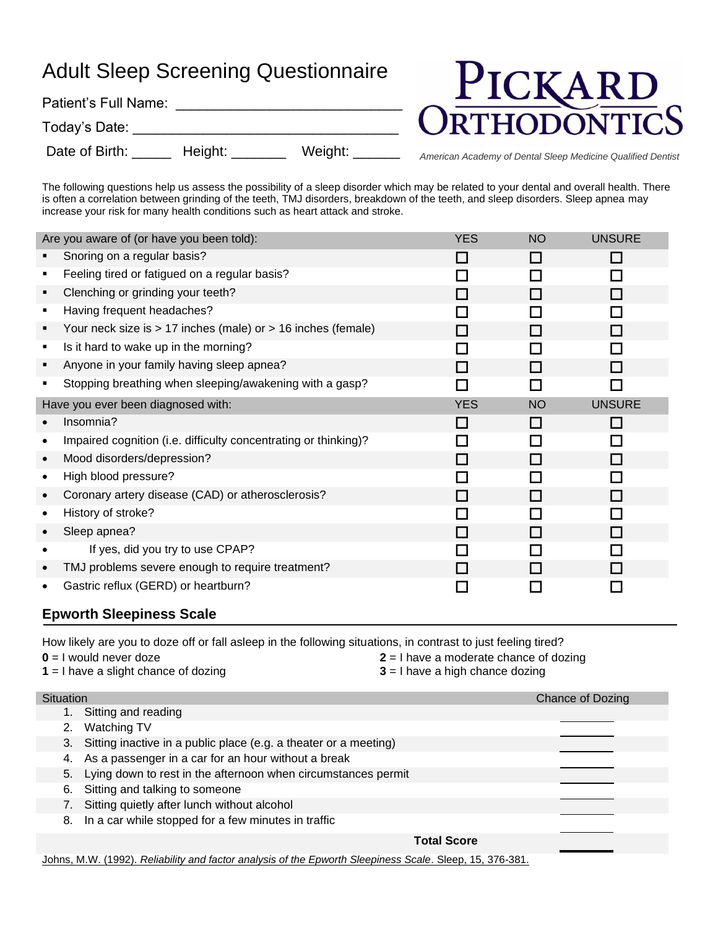# Adult Sleep Screening Questionnaire

Patient's Full Name: \_\_\_\_\_\_\_\_\_\_\_\_\_\_\_\_\_\_\_\_\_\_\_\_\_\_\_\_\_

Today's Date: \_\_\_\_\_\_\_\_\_\_\_\_\_\_\_\_\_\_\_\_\_\_\_\_\_\_\_\_\_\_\_\_\_\_

Date of Birth: \_\_\_\_\_ Height: \_\_\_\_\_\_ Weight: \_\_\_\_\_



*American Academy of Dental Sleep Medicine Qualified Dentist*

The following questions help us assess the possibility of a sleep disorder which may be related to your dental and overall health. There is often a correlation between grinding of the teeth, TMJ disorders, breakdown of the teeth, and sleep disorders. Sleep apnea may increase your risk for many health conditions such as heart attack and stroke.

| Are you aware of (or have you been told):                        | <b>YES</b> | <b>NO</b>    | <b>UNSURE</b> |
|------------------------------------------------------------------|------------|--------------|---------------|
| Snoring on a regular basis?                                      |            |              |               |
| Feeling tired or fatigued on a regular basis?                    |            |              |               |
| Clenching or grinding your teeth?                                |            | $\Box$       |               |
| Having frequent headaches?                                       |            |              |               |
| Your neck size is $> 17$ inches (male) or $> 16$ inches (female) |            | $\mathsf{L}$ | П             |
| Is it hard to wake up in the morning?<br>٠                       |            |              |               |
| Anyone in your family having sleep apnea?<br>٠                   |            |              |               |
| Stopping breathing when sleeping/awakening with a gasp?          |            | l I          |               |
| Have you ever been diagnosed with:                               | <b>YES</b> | <b>NO</b>    | <b>UNSURE</b> |
| Insomnia?                                                        |            | H            | . .           |
| Impaired cognition (i.e. difficulty concentrating or thinking)?  |            |              |               |
| Mood disorders/depression?                                       |            | l I          |               |
| High blood pressure?                                             |            |              |               |
| Coronary artery disease (CAD) or atherosclerosis?                |            |              |               |
| History of stroke?                                               |            |              |               |
| Sleep apnea?                                                     |            |              |               |
| If yes, did you try to use CPAP?                                 |            |              |               |
| TMJ problems severe enough to require treatment?                 |            | $\mathsf{L}$ |               |
| Gastric reflux (GERD) or heartburn?                              |            |              |               |

## **Epworth Sleepiness Scale**

How likely are you to doze off or fall asleep in the following situations, in contrast to just feeling tired?

- 
- **0** = I would never doze **2** = I have a moderate chance of dozing
- **1** = I have a slight chance of dozing **3** = I have a high chance dozing
- 

| <b>Situation</b>                                                                                         | Chance of Dozing |
|----------------------------------------------------------------------------------------------------------|------------------|
| Sitting and reading                                                                                      |                  |
| Watching TV<br>2.                                                                                        |                  |
| 3. Sitting inactive in a public place (e.g. a theater or a meeting)                                      |                  |
| As a passenger in a car for an hour without a break<br>4.                                                |                  |
| Lying down to rest in the afternoon when circumstances permit<br>5.                                      |                  |
| Sitting and talking to someone<br>6.                                                                     |                  |
| Sitting quietly after lunch without alcohol<br>7.                                                        |                  |
| In a car while stopped for a few minutes in traffic<br>8.                                                |                  |
| <b>Total Score</b>                                                                                       |                  |
| Johns, M.W. (1992). Reliability and factor analysis of the Epworth Sleepiness Scale. Sleep, 15, 376-381. |                  |